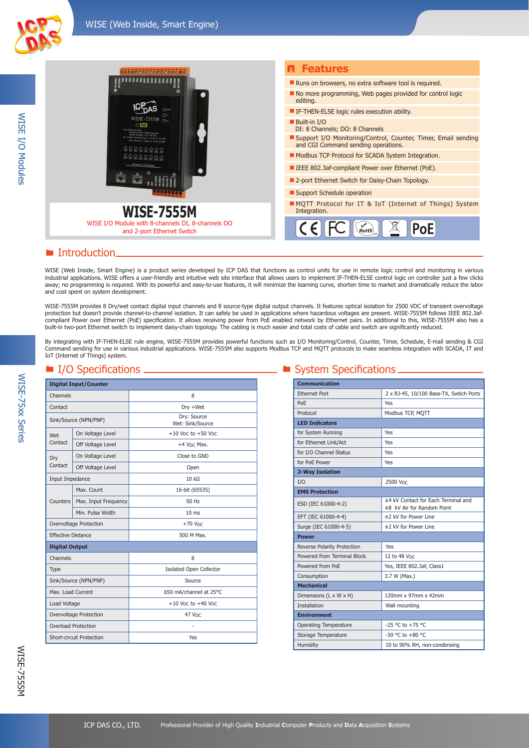



**WISE-7555M** WISE I/O Module with 8-channels DI, 8-channels DO

and 2-port Ethernet Switch

- No more programming, Web pages provided for control logic
- **IF-THEN-ELSE logic rules execution ability.**
- Support I/O Monitoring/Control, Counter, Timer, Email sending and CGI Command sending operations.
- Modbus TCP Protocol for SCADA System Integration.
- IEEE 802.3af-compliant Power over Ethernet (PoE).

N<br>Rohs

- 2-port Ethernet Switch for Daisy-Chain Topology.
- **Support Schedule operation**

 $\epsilon$ 

**MQTT Protocol for IT & IoT (Internet of Things) System**<br>Integration.

PoE

### ■ Introduction.

WISE (Web Inside, Smart Engine) is a product series developed by ICP DAS that functions as control units for use in remote logic control and monitoring in various industrial applications. WISE offers a user-friendly and intuitive web site interface that allows users to implement IF-THEN-ELSE control logic on controller just a few clicks away; no programming is required. With its powerful and easy-to-use features, it will minimize the learning curve, shorten time to market and dramatically reduce the labor and cost spent on system development.

WISE-7555M provides 8 Dry/wet contact digital input channels and 8 source-type digital output channels. It features optical isolation for 2500 VDC of transient overvoltage protection but doesn't provide channel-to-channel isolation. It can safely be used in applications where hazardous voltages are present. WISE-7555M follows IEEE 802.3afcompliant Power over Ethernet (PoE) specification. It allows receiving power from PoE enabled network by Ethernet pairs. In additional to this, WISE-7555M also has a built-in two-port Ethernet switch to implement daisy-chain topology. The cabling is much easier and total costs of cable and switch are significantly reduced.

By integrating with IF-THEN-ELSE rule engine, WISE-7555M provides powerful functions such as I/O Monitoring/Control, Counter, Timer, Schedule, E-mail sending & CGI Command sending for use in various industrial applications. WISE-7555M also supports Modbus TCP and MQTT protocols to make seamless integration with SCADA, IT and IoT (Internet of Things) system.

| <b>Digital Input/Counter</b> |                       |                                                |
|------------------------------|-----------------------|------------------------------------------------|
| Channels                     |                       | 8                                              |
| Contact                      |                       | Dry +Wet                                       |
|                              | Sink/Source (NPN/PNP) | Dry: Source<br>Wet: Sink/Source                |
| Wet                          | On Voltage Level      | $+10$ V <sub>DC</sub> to $+50$ V <sub>DC</sub> |
| Contact                      | Off Voltage Level     | +4 V <sub>DC</sub> Max.                        |
| Dry                          | On Voltage Level      | Close to GND                                   |
| Contact                      | Off Voltage Level     | Open                                           |
| Input Impedance              |                       | $10 k\Omega$                                   |
|                              | Max. Count            | 16-bit (65535)                                 |
| <b>Counters</b>              | Max. Input Frequency  | 50 Hz                                          |
|                              | Min. Pulse Width      | 10 <sub>ms</sub>                               |
| Overvoltage Protection       |                       | $+70$ V <sub>DC</sub>                          |
| <b>Effective Distance</b>    |                       | 500 M Max.                                     |
| <b>Digital Output</b>        |                       |                                                |
| Channels                     |                       | 8                                              |
| Type                         |                       | <b>Isolated Open Collector</b>                 |
| Sink/Source (NPN/PNP)        |                       | Source                                         |
| Max. Load Current            |                       | 650 mA/channel at 25°C                         |
| Load Voltage                 |                       | $+10$ VDC to $+40$ VDC                         |
| Overvoltage Protection       |                       | 47 VDC                                         |
| <b>Overload Protection</b>   |                       | ٠                                              |
| Short-circuit Protection     |                       | Yes                                            |

## $\blacksquare$  I/O Specifications  $\blacksquare$  System Specifications  $\blacksquare$

| <b>Communication</b>         |                                                                   |
|------------------------------|-------------------------------------------------------------------|
| <b>Fthernet Port</b>         | 2 x RJ-45, 10/100 Base-TX, Swtich Ports                           |
| PoE                          | Yes                                                               |
| Protocol                     | Modbus TCP, MQTT                                                  |
| <b>LED Indicators</b>        |                                                                   |
| for System Running           | Yes                                                               |
| for Ethernet Link/Act        | Yes                                                               |
| for I/O Channel Status       | Yes                                                               |
| for PoE Power                | Yes                                                               |
| 2-Way Isolation              |                                                                   |
| I/O                          | 2500 Vpc                                                          |
| <b>EMS Protection</b>        |                                                                   |
| ESD (IEC 61000-4-2)          | ±4 kV Contact for Each Terminal and<br>±8 kV Air for Random Point |
| EFT (IEC 61000-4-4)          | ±2 kV for Power Line                                              |
| Surge (IEC 61000-4-5)        | ±2 kV for Power Line                                              |
| <b>Power</b>                 |                                                                   |
| Reverse Polarity Protection  | Yes                                                               |
| Powered from Terminal Block  | 12 to 48 VDC                                                      |
| Powered from PoE             | Yes, IEEE 802.3af, Class1                                         |
| Consumption                  | 3.7 W (Max.)                                                      |
| <b>Mechanical</b>            |                                                                   |
| Dimensions (L x W x H)       | 120mm x 97mm x 42mm                                               |
| <b>Installation</b>          | Wall mounting                                                     |
| <b>Environment</b>           |                                                                   |
| <b>Operating Temperature</b> | -25 °C to +75 °C                                                  |
| Storage Temperature          | $-30$ °C to $+80$ °C                                              |
| Humidity                     | 10 to 90% RH, non-condensing                                      |